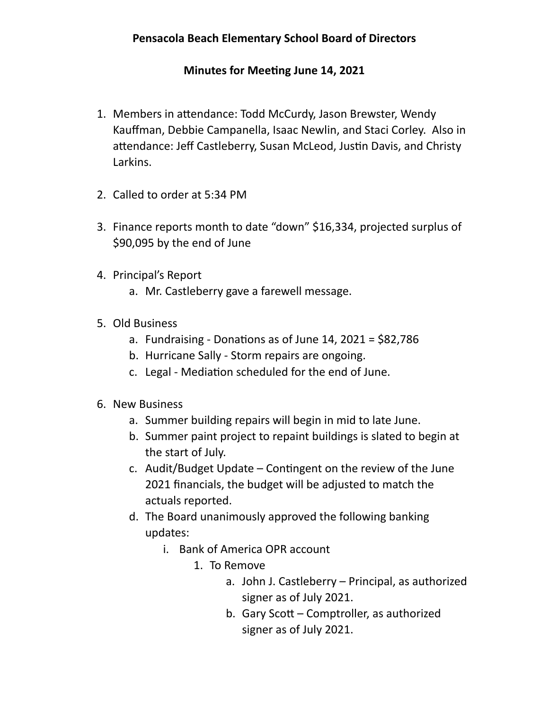## **Minutes for Meeting June 14, 2021**

- 1. Members in attendance: Todd McCurdy, Jason Brewster, Wendy Kauffman, Debbie Campanella, Isaac Newlin, and Staci Corley. Also in attendance: Jeff Castleberry, Susan McLeod, Justin Davis, and Christy Larkins.
- 2. Called to order at 5:34 PM
- 3. Finance reports month to date "down" \$16,334, projected surplus of \$90,095 by the end of June
- 4. Principal's Report
	- a. Mr. Castleberry gave a farewell message.
- 5. Old Business
	- a. Fundraising Donations as of June 14, 2021 =  $$82,786$
	- b. Hurricane Sally Storm repairs are ongoing.
	- c. Legal Mediation scheduled for the end of June.
- 6. New Business
	- a. Summer building repairs will begin in mid to late June.
	- b. Summer paint project to repaint buildings is slated to begin at the start of July.
	- c. Audit/Budget Update Contingent on the review of the June 2021 financials, the budget will be adjusted to match the actuals reported.
	- d. The Board unanimously approved the following banking updates:
		- i. Bank of America OPR account
			- 1. To Remove
				- a. John J. Castleberry Principal, as authorized signer as of July 2021.
				- b. Gary Scott Comptroller, as authorized signer as of July 2021.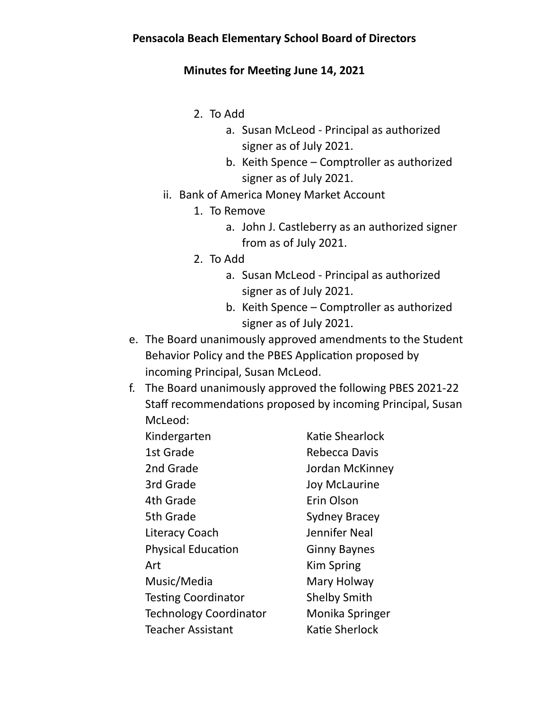## **Minutes for Meeting June 14, 2021**

- 2. To Add
	- a. Susan McLeod Principal as authorized signer as of July 2021.
	- b. Keith Spence Comptroller as authorized signer as of July 2021.
- ii. Bank of America Money Market Account
	- 1. To Remove
		- a. John J. Castleberry as an authorized signer from as of July 2021.
	- 2. To Add
		- a. Susan McLeod Principal as authorized signer as of July 2021.
		- b. Keith Spence Comptroller as authorized signer as of July 2021.
- e. The Board unanimously approved amendments to the Student Behavior Policy and the PBES Application proposed by incoming Principal, Susan McLeod.
- f. The Board unanimously approved the following PBES 2021-22 Staff recommendations proposed by incoming Principal, Susan McLeod:

| Kindergarten                  | Katie Shearlock      |
|-------------------------------|----------------------|
| 1st Grade                     | Rebecca Davis        |
| 2nd Grade                     | Jordan McKinney      |
| 3rd Grade                     | <b>Joy McLaurine</b> |
| 4th Grade                     | Erin Olson           |
| 5th Grade                     | <b>Sydney Bracey</b> |
| <b>Literacy Coach</b>         | Jennifer Neal        |
| <b>Physical Education</b>     | <b>Ginny Baynes</b>  |
| Art                           | <b>Kim Spring</b>    |
| Music/Media                   | Mary Holway          |
| <b>Testing Coordinator</b>    | <b>Shelby Smith</b>  |
| <b>Technology Coordinator</b> | Monika Springer      |
| <b>Teacher Assistant</b>      | Katie Sherlock       |